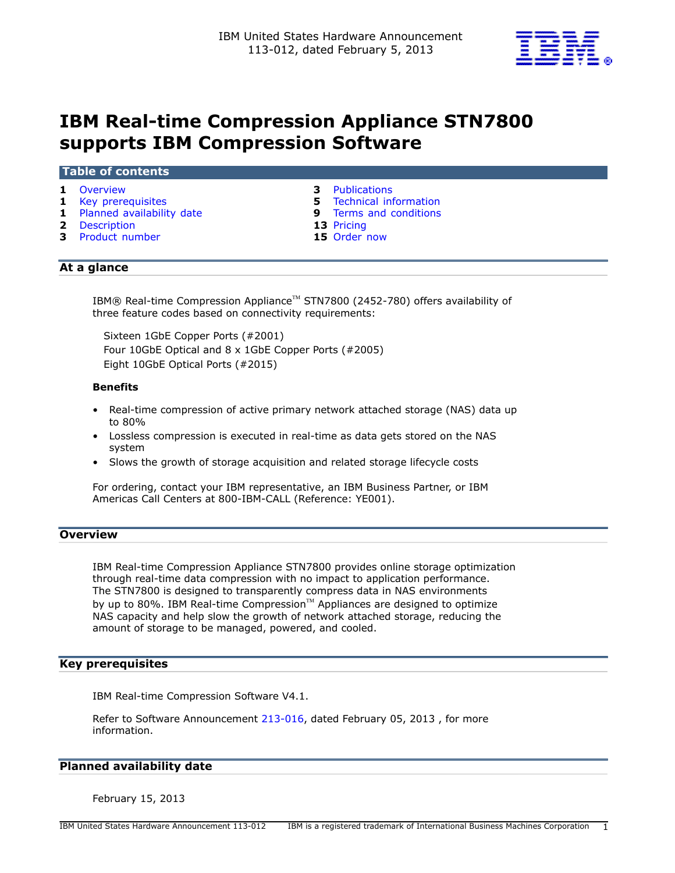

# **IBM Real-time Compression Appliance STN7800 supports IBM Compression Software**

#### **Table of contents**

- 
- 
- **1** [Planned availability date](#page-0-2) **9** [Terms and conditions](#page-8-0)
- 
- **2** [Description](#page-1-0) **13** [Pricing](#page-12-0) **13** Product number **15** Order now **3** Product number
- **1** [Overview](#page-0-0) **3** [Publications](#page-2-0)
- **1** [Key prerequisites](#page-0-1) **5** [Technical information](#page-4-0) 
	-
	-
	-

# **At a glance**

IBM® Real-time Compression Appliance™ STN7800 (2452-780) offers availability of three feature codes based on connectivity requirements:

Sixteen 1GbE Copper Ports (#2001) Four 10GbE Optical and 8 x 1GbE Copper Ports (#2005) Eight 10GbE Optical Ports (#2015)

## **Benefits**

- Real-time compression of active primary network attached storage (NAS) data up to 80%
- Lossless compression is executed in real-time as data gets stored on the NAS system
- Slows the growth of storage acquisition and related storage lifecycle costs

For ordering, contact your IBM representative, an IBM Business Partner, or IBM Americas Call Centers at 800-IBM-CALL (Reference: YE001).

# <span id="page-0-0"></span>**Overview**

IBM Real-time Compression Appliance STN7800 provides online storage optimization through real-time data compression with no impact to application performance. The STN7800 is designed to transparently compress data in NAS environments by up to 80%. IBM Real-time Compression<sup>™</sup> Appliances are designed to optimize NAS capacity and help slow the growth of network attached storage, reducing the amount of storage to be managed, powered, and cooled.

## <span id="page-0-1"></span>**Key prerequisites**

IBM Real-time Compression Software V4.1.

Refer to Software Announcement [213-016,](http://www.ibm.com/common/ssi/cgi-bin/ssialias?infotype=an&subtype=ca&appname=gpateam&supplier=897&letternum=ENUS213-016) dated February 05, 2013 , for more information.

## <span id="page-0-2"></span>**Planned availability date**

February 15, 2013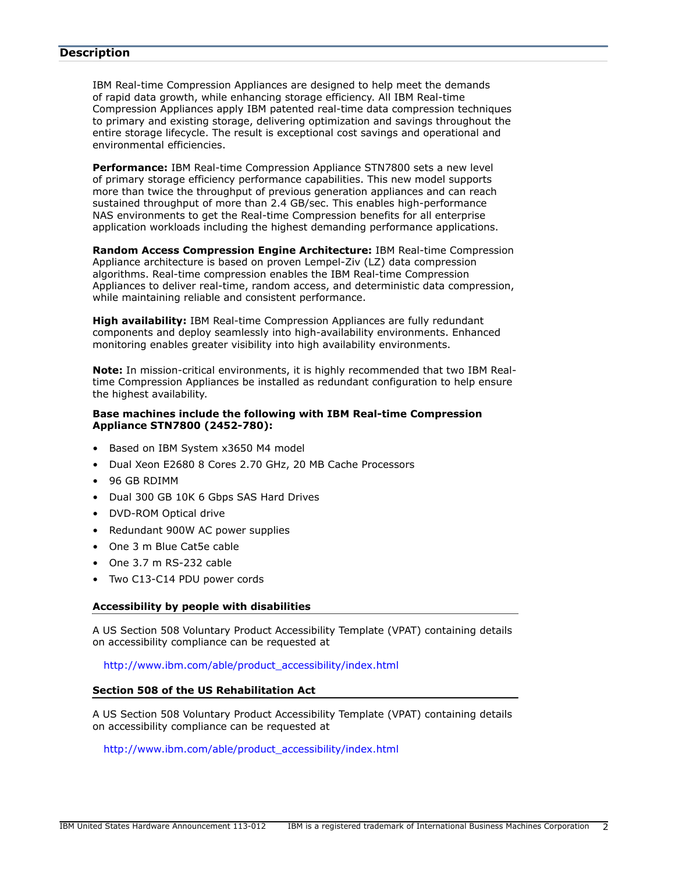### <span id="page-1-0"></span>**Description**

IBM Real-time Compression Appliances are designed to help meet the demands of rapid data growth, while enhancing storage efficiency. All IBM Real-time Compression Appliances apply IBM patented real-time data compression techniques to primary and existing storage, delivering optimization and savings throughout the entire storage lifecycle. The result is exceptional cost savings and operational and environmental efficiencies.

**Performance:** IBM Real-time Compression Appliance STN7800 sets a new level of primary storage efficiency performance capabilities. This new model supports more than twice the throughput of previous generation appliances and can reach sustained throughput of more than 2.4 GB/sec. This enables high-performance NAS environments to get the Real-time Compression benefits for all enterprise application workloads including the highest demanding performance applications.

**Random Access Compression Engine Architecture:** IBM Real-time Compression Appliance architecture is based on proven Lempel-Ziv (LZ) data compression algorithms. Real-time compression enables the IBM Real-time Compression Appliances to deliver real-time, random access, and deterministic data compression, while maintaining reliable and consistent performance.

**High availability:** IBM Real-time Compression Appliances are fully redundant components and deploy seamlessly into high-availability environments. Enhanced monitoring enables greater visibility into high availability environments.

**Note:** In mission-critical environments, it is highly recommended that two IBM Realtime Compression Appliances be installed as redundant configuration to help ensure the highest availability.

#### **Base machines include the following with IBM Real-time Compression Appliance STN7800 (2452-780):**

- Based on IBM System x3650 M4 model
- Dual Xeon E2680 8 Cores 2.70 GHz, 20 MB Cache Processors
- 96 GB RDIMM
- Dual 300 GB 10K 6 Gbps SAS Hard Drives
- DVD-ROM Optical drive
- Redundant 900W AC power supplies
- One 3 m Blue Cat5e cable
- One 3.7 m RS-232 cable
- Two C13-C14 PDU power cords

#### **Accessibility by people with disabilities**

A US Section 508 Voluntary Product Accessibility Template (VPAT) containing details on accessibility compliance can be requested at

[http://www.ibm.com/able/product\\_accessibility/index.html](http://www.ibm.com/able/product_accessibility/index.html)

## **Section 508 of the US Rehabilitation Act**

A US Section 508 Voluntary Product Accessibility Template (VPAT) containing details on accessibility compliance can be requested at

[http://www.ibm.com/able/product\\_accessibility/index.html](http://www.ibm.com/able/product_accessibility/index.html)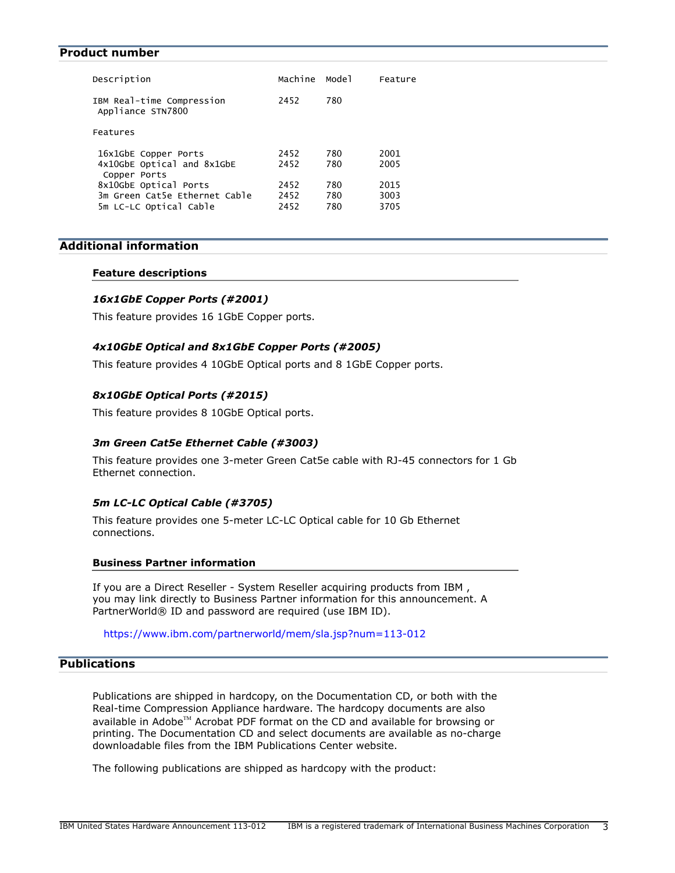#### <span id="page-2-1"></span>**Product number**

| Description                                                                      | Machine              | Model             | Feature              |
|----------------------------------------------------------------------------------|----------------------|-------------------|----------------------|
| IBM Real-time Compression<br>Appliance STN7800                                   | 2452                 | 780               |                      |
| Features                                                                         |                      |                   |                      |
| 16x1GbE Copper Ports<br>4x10GbE Optical and 8x1GbE<br>Copper Ports               | 2452<br>2452         | 780<br>780        | 2001<br>2005         |
| 8x10GbE Optical Ports<br>3m Green Cat5e Ethernet Cable<br>5m LC-LC Optical Cable | 2452<br>2452<br>2452 | 780<br>780<br>780 | 2015<br>3003<br>3705 |

# **Additional information**

#### **Feature descriptions**

#### *16x1GbE Copper Ports (#2001)*

This feature provides 16 1GbE Copper ports.

## *4x10GbE Optical and 8x1GbE Copper Ports (#2005)*

This feature provides 4 10GbE Optical ports and 8 1GbE Copper ports.

#### *8x10GbE Optical Ports (#2015)*

This feature provides 8 10GbE Optical ports.

## *3m Green Cat5e Ethernet Cable (#3003)*

This feature provides one 3-meter Green Cat5e cable with RJ-45 connectors for 1 Gb Ethernet connection.

## *5m LC-LC Optical Cable (#3705)*

This feature provides one 5-meter LC-LC Optical cable for 10 Gb Ethernet connections.

#### **Business Partner information**

If you are a Direct Reseller - System Reseller acquiring products from IBM , you may link directly to Business Partner information for this announcement. A PartnerWorld® ID and password are required (use IBM ID).

<https://www.ibm.com/partnerworld/mem/sla.jsp?num=113-012>

# <span id="page-2-0"></span>**Publications**

Publications are shipped in hardcopy, on the Documentation CD, or both with the Real-time Compression Appliance hardware. The hardcopy documents are also available in Adobe $TM$  Acrobat PDF format on the CD and available for browsing or printing. The Documentation CD and select documents are available as no-charge downloadable files from the IBM Publications Center website.

The following publications are shipped as hardcopy with the product: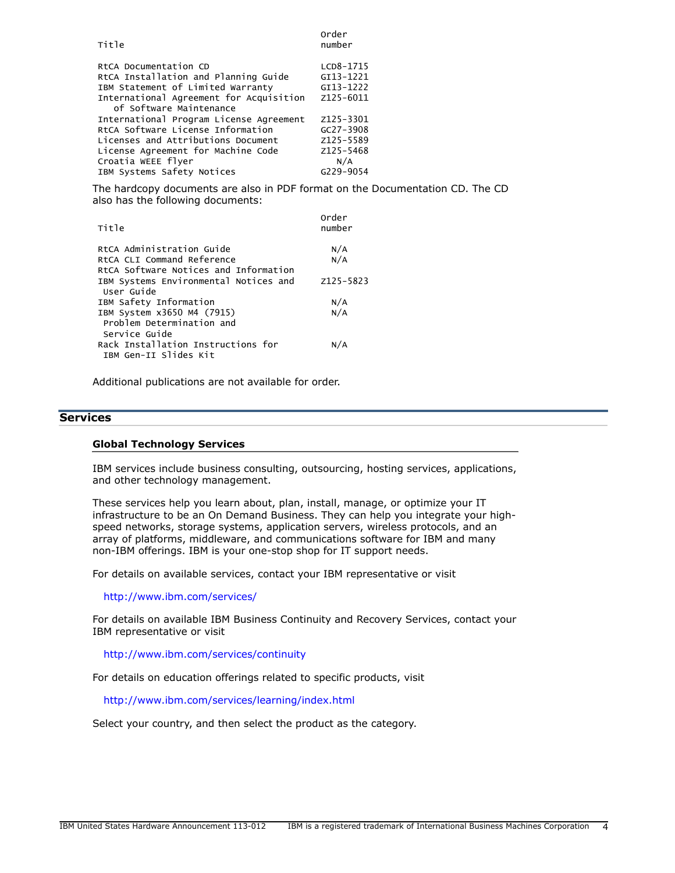| Title                                                                                                                                                                                                        | Order<br>number                                                          |
|--------------------------------------------------------------------------------------------------------------------------------------------------------------------------------------------------------------|--------------------------------------------------------------------------|
| RtCA Documentation CD<br>RtCA Installation and Planning Guide<br>IBM Statement of Limited Warranty<br>International Agreement for Acquisition<br>of Software Maintenance                                     | LCD8-1715<br>GI13-1221<br>GI13-1222<br>Z125-6011                         |
| International Program License Agreement<br>RtCA Software License Information<br>Licenses and Attributions Document<br>License Agreement for Machine Code<br>Croatia WEEE flyer<br>IBM Systems Safety Notices | Z125-3301<br>$GC27 - 3908$<br>Z125-5589<br>Z125-5468<br>N/A<br>G229-9054 |

The hardcopy documents are also in PDF format on the Documentation CD. The CD also has the following documents:

| Title                                 | Order<br>number |
|---------------------------------------|-----------------|
| RtCA Administration Guide             | N/A             |
| RtCA CLI Command Reference            | N/A             |
| RtCA Software Notices and Information |                 |
| IBM Systems Environmental Notices and | Z125-5823       |
| User Guide                            |                 |
| IBM Safety Information                | N/A             |
| IBM System x3650 M4 (7915)            | N/A             |
| Problem Determination and             |                 |
| Service Guide                         |                 |
| Rack Installation Instructions for    | N/A             |
| IBM Gen-II Slides Kit                 |                 |
|                                       |                 |

Additional publications are not available for order.

## **Services**

#### **Global Technology Services**

IBM services include business consulting, outsourcing, hosting services, applications, and other technology management.

These services help you learn about, plan, install, manage, or optimize your IT infrastructure to be an On Demand Business. They can help you integrate your highspeed networks, storage systems, application servers, wireless protocols, and an array of platforms, middleware, and communications software for IBM and many non-IBM offerings. IBM is your one-stop shop for IT support needs.

For details on available services, contact your IBM representative or visit

<http://www.ibm.com/services/>

For details on available IBM Business Continuity and Recovery Services, contact your IBM representative or visit

<http://www.ibm.com/services/continuity>

For details on education offerings related to specific products, visit

<http://www.ibm.com/services/learning/index.html>

Select your country, and then select the product as the category.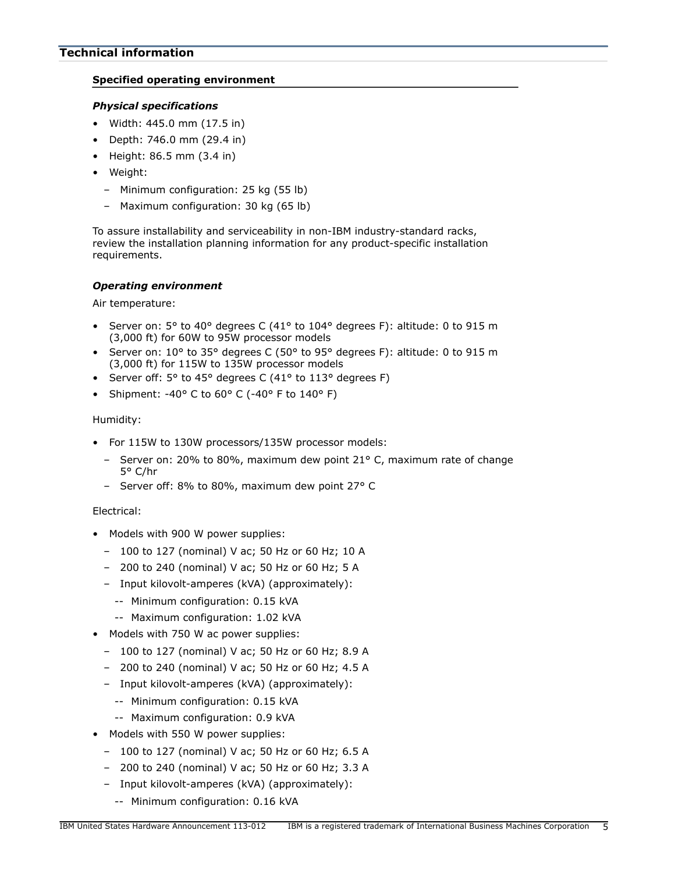## <span id="page-4-0"></span>**Specified operating environment**

## *Physical specifications*

- Width: 445.0 mm (17.5 in)
- Depth: 746.0 mm (29.4 in)
- Height: 86.5 mm (3.4 in)
- Weight:
	- Minimum configuration: 25 kg (55 lb)
	- Maximum configuration: 30 kg (65 lb)

To assure installability and serviceability in non-IBM industry-standard racks, review the installation planning information for any product-specific installation requirements.

## *Operating environment*

Air temperature:

- Server on:  $5^{\circ}$  to 40° degrees C (41° to 104° degrees F): altitude: 0 to 915 m (3,000 ft) for 60W to 95W processor models
- Server on:  $10^{\circ}$  to 35° degrees C (50° to 95° degrees F): altitude: 0 to 915 m (3,000 ft) for 115W to 135W processor models
- Server off: 5° to 45° degrees C (41° to 113° degrees F)
- Shipment: -40° C to  $60^{\circ}$  C (-40° F to  $140^{\circ}$  F)

## Humidity:

- For 115W to 130W processors/135W processor models:
	- Server on: 20% to 80%, maximum dew point 21° C, maximum rate of change 5° C/hr
	- Server off: 8% to 80%, maximum dew point 27° C

## Electrical:

- Models with 900 W power supplies:
	- 100 to 127 (nominal) V ac; 50 Hz or 60 Hz; 10 A
	- 200 to 240 (nominal) V ac; 50 Hz or 60 Hz; 5 A
	- Input kilovolt-amperes (kVA) (approximately):
		- -- Minimum configuration: 0.15 kVA
		- -- Maximum configuration: 1.02 kVA
- Models with 750 W ac power supplies:
	- 100 to 127 (nominal) V ac; 50 Hz or 60 Hz; 8.9 A
	- 200 to 240 (nominal) V ac; 50 Hz or 60 Hz; 4.5 A
	- Input kilovolt-amperes (kVA) (approximately):
		- -- Minimum configuration: 0.15 kVA
		- -- Maximum configuration: 0.9 kVA
- Models with 550 W power supplies:
	- 100 to 127 (nominal) V ac; 50 Hz or 60 Hz; 6.5 A
	- 200 to 240 (nominal) V ac; 50 Hz or 60 Hz; 3.3 A
	- Input kilovolt-amperes (kVA) (approximately):
		- -- Minimum configuration: 0.16 kVA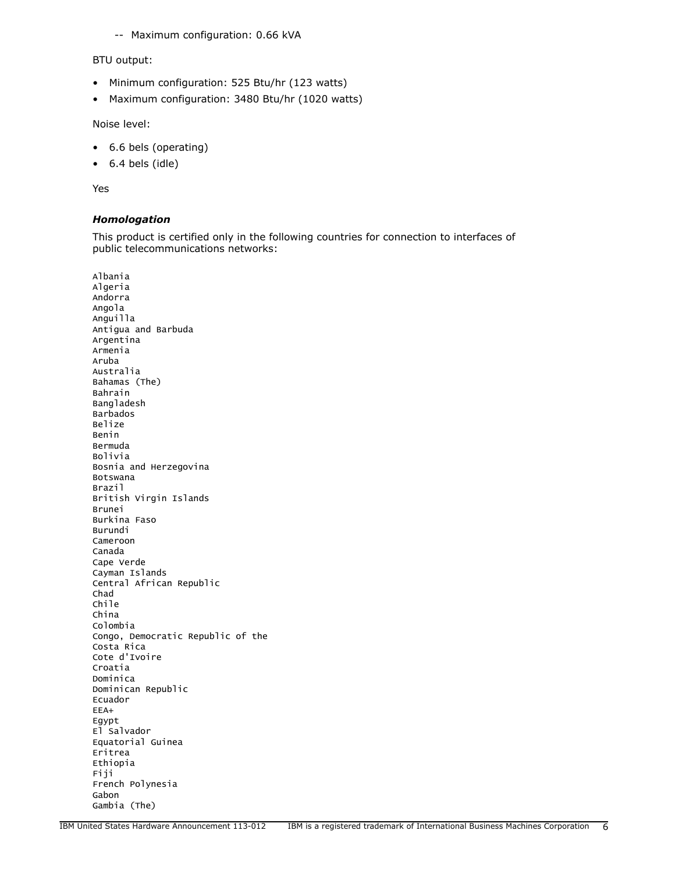-- Maximum configuration: 0.66 kVA

#### BTU output:

- Minimum configuration: 525 Btu/hr (123 watts)
- Maximum configuration: 3480 Btu/hr (1020 watts)

Noise level:

- 6.6 bels (operating)
- 6.4 bels (idle)

Yes

#### *Homologation*

This product is certified only in the following countries for connection to interfaces of public telecommunications networks:

Albania Algeria Andorra Angola Anguilla Antigua and Barbuda Argentina Armenia Aruba Australia Bahamas (The) Bahrain Bangladesh Barbados Belize Benin Bermuda Bolivia Bosnia and Herzegovina Botswana Brazil British Virgin Islands Brunei Burkina Faso Burundi Cameroon Canada Cape Verde Cayman Islands Central African Republic Chad Chile China Colombia Congo, Democratic Republic of the Costa Rica Cote d'Ivoire Croatia Dominica Dominican Republic Ecuador EEA+ Egypt El Salvador Equatorial Guinea Eritrea Ethiopia Fiji French Polynesia Gabon Gambia (The)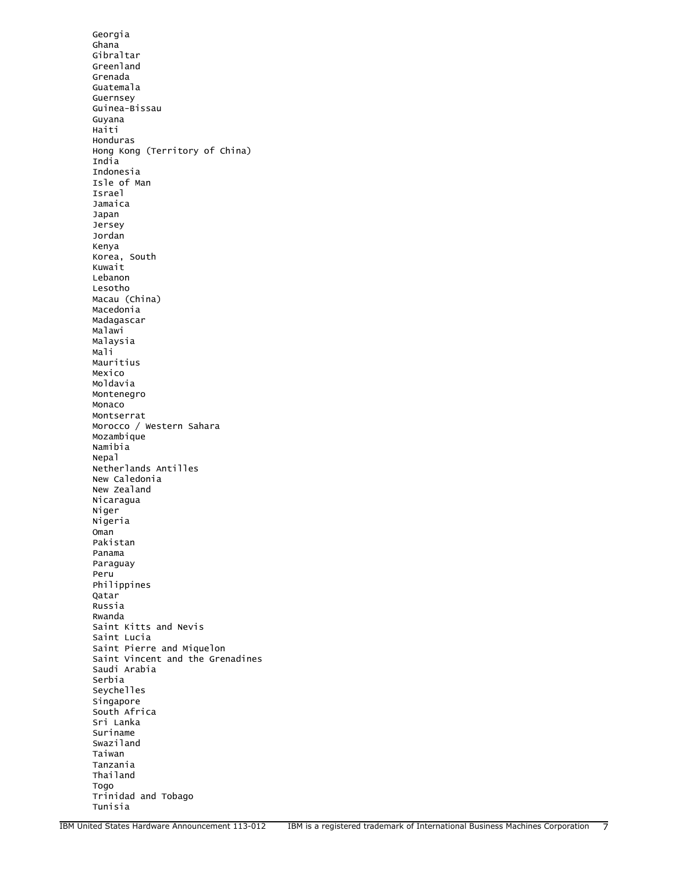Georgia Ghana Gibraltar Greenland Grenada Guatemala Guernsey Guinea-Bissau Guyana Haiti Honduras Hong Kong (Territory of China) India Indonesia Isle of Man Israel Jamaica Japan Jersey Jordan Kenya Korea, South Kuwait Lebanon Lesotho Macau (China) Macedonia Madagascar Malawi Malaysia Mali Mauritius Mexico Moldavia Montenegro Monaco Montserrat Morocco / Western Sahara Mozambique Namibia Nepal Netherlands Antilles New Caledonia New Zealand Nicaragua Niger Nigeria Oman Pakistan Panama Paraguay Peru Philippines Qatar Russia Rwanda Saint Kitts and Nevis Saint Lucia Saint Pierre and Miquelon Saint Vincent and the Grenadines Saudi Arabia Serbia Seychelles Singapore South Africa Sri Lanka Suriname Swaziland Taiwan Tanzania Thailand Togo Trinidad and Tobago Tunisia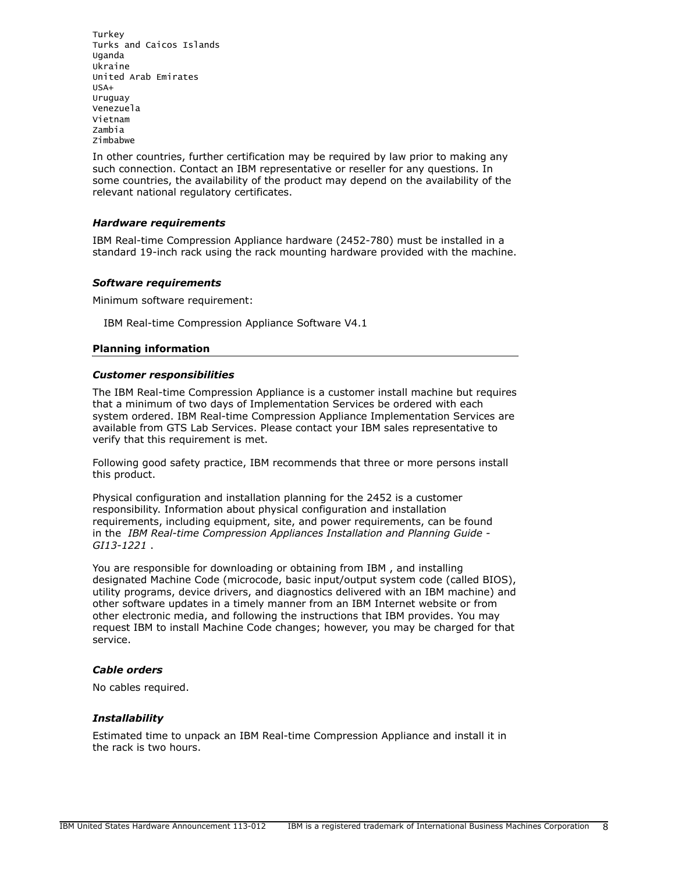Turkey Turks and Caicos Islands Uganda Ukraine United Arab Emirates USA+ Uruguay Venezuela Vietnam Zambia Zimbabwe

In other countries, further certification may be required by law prior to making any such connection. Contact an IBM representative or reseller for any questions. In some countries, the availability of the product may depend on the availability of the relevant national regulatory certificates.

## *Hardware requirements*

IBM Real-time Compression Appliance hardware (2452-780) must be installed in a standard 19-inch rack using the rack mounting hardware provided with the machine.

#### *Software requirements*

Minimum software requirement:

IBM Real-time Compression Appliance Software V4.1

## **Planning information**

#### *Customer responsibilities*

The IBM Real-time Compression Appliance is a customer install machine but requires that a minimum of two days of Implementation Services be ordered with each system ordered. IBM Real-time Compression Appliance Implementation Services are available from GTS Lab Services. Please contact your IBM sales representative to verify that this requirement is met.

Following good safety practice, IBM recommends that three or more persons install this product.

Physical configuration and installation planning for the 2452 is a customer responsibility. Information about physical configuration and installation requirements, including equipment, site, and power requirements, can be found in the *IBM Real-time Compression Appliances Installation and Planning Guide - GI13-1221* .

You are responsible for downloading or obtaining from IBM , and installing designated Machine Code (microcode, basic input/output system code (called BIOS), utility programs, device drivers, and diagnostics delivered with an IBM machine) and other software updates in a timely manner from an IBM Internet website or from other electronic media, and following the instructions that IBM provides. You may request IBM to install Machine Code changes; however, you may be charged for that service.

#### *Cable orders*

No cables required.

#### *Installability*

Estimated time to unpack an IBM Real-time Compression Appliance and install it in the rack is two hours.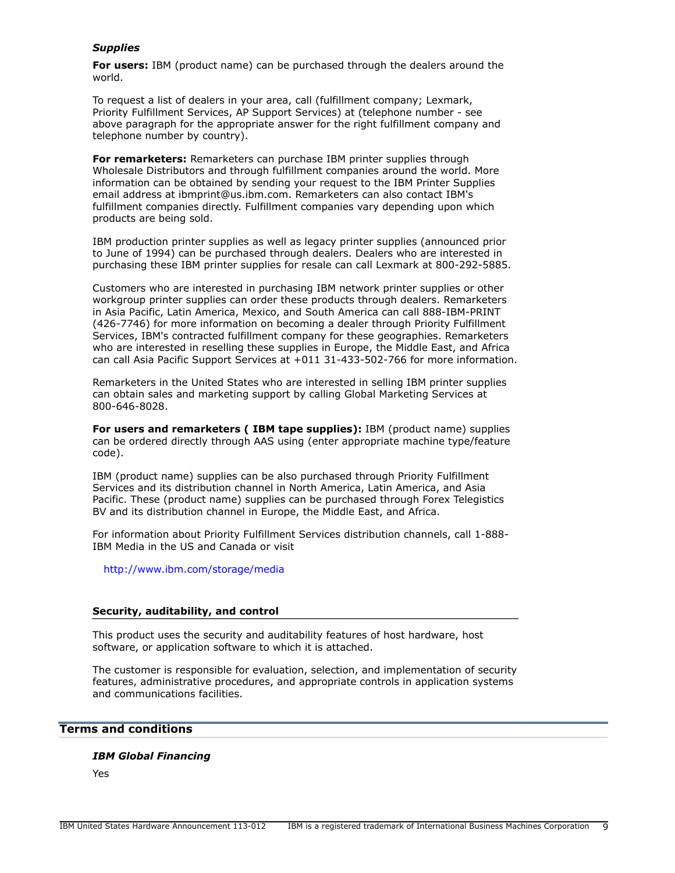## *Supplies*

**For users:** IBM (product name) can be purchased through the dealers around the world.

To request a list of dealers in your area, call (fulfillment company; Lexmark, Priority Fulfillment Services, AP Support Services) at (telephone number - see above paragraph for the appropriate answer for the right fulfillment company and telephone number by country).

**For remarketers:** Remarketers can purchase IBM printer supplies through Wholesale Distributors and through fulfillment companies around the world. More information can be obtained by sending your request to the IBM Printer Supplies email address at ibmprint@us.ibm.com. Remarketers can also contact IBM's fulfillment companies directly. Fulfillment companies vary depending upon which products are being sold.

IBM production printer supplies as well as legacy printer supplies (announced prior to June of 1994) can be purchased through dealers. Dealers who are interested in purchasing these IBM printer supplies for resale can call Lexmark at 800-292-5885.

Customers who are interested in purchasing IBM network printer supplies or other workgroup printer supplies can order these products through dealers. Remarketers in Asia Pacific, Latin America, Mexico, and South America can call 888-IBM-PRINT (426-7746) for more information on becoming a dealer through Priority Fulfillment Services, IBM's contracted fulfillment company for these geographies. Remarketers who are interested in reselling these supplies in Europe, the Middle East, and Africa can call Asia Pacific Support Services at +011 31-433-502-766 for more information.

Remarketers in the United States who are interested in selling IBM printer supplies can obtain sales and marketing support by calling Global Marketing Services at 800-646-8028.

**For users and remarketers ( IBM tape supplies):** IBM (product name) supplies can be ordered directly through AAS using (enter appropriate machine type/feature code).

IBM (product name) supplies can be also purchased through Priority Fulfillment Services and its distribution channel in North America, Latin America, and Asia Pacific. These (product name) supplies can be purchased through Forex Telegistics BV and its distribution channel in Europe, the Middle East, and Africa.

For information about Priority Fulfillment Services distribution channels, call 1-888- IBM Media in the US and Canada or visit

<http://www.ibm.com/storage/media>

#### **Security, auditability, and control**

This product uses the security and auditability features of host hardware, host software, or application software to which it is attached.

The customer is responsible for evaluation, selection, and implementation of security features, administrative procedures, and appropriate controls in application systems and communications facilities.

# <span id="page-8-0"></span>**Terms and conditions**

#### *IBM Global Financing*

Yes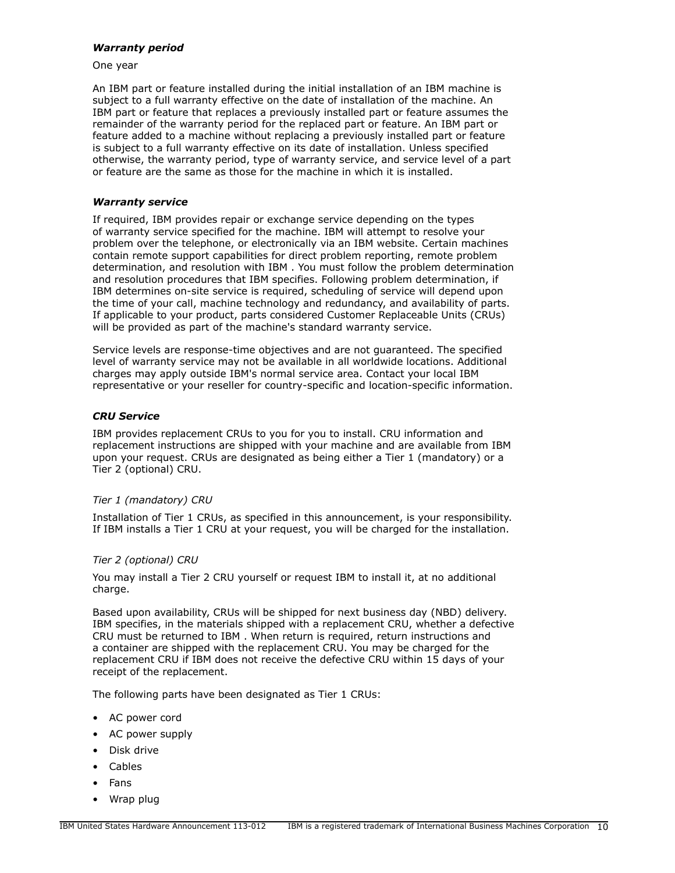#### *Warranty period*

One year

An IBM part or feature installed during the initial installation of an IBM machine is subject to a full warranty effective on the date of installation of the machine. An IBM part or feature that replaces a previously installed part or feature assumes the remainder of the warranty period for the replaced part or feature. An IBM part or feature added to a machine without replacing a previously installed part or feature is subject to a full warranty effective on its date of installation. Unless specified otherwise, the warranty period, type of warranty service, and service level of a part or feature are the same as those for the machine in which it is installed.

## <span id="page-9-0"></span>*Warranty service*

If required, IBM provides repair or exchange service depending on the types of warranty service specified for the machine. IBM will attempt to resolve your problem over the telephone, or electronically via an IBM website. Certain machines contain remote support capabilities for direct problem reporting, remote problem determination, and resolution with IBM . You must follow the problem determination and resolution procedures that IBM specifies. Following problem determination, if IBM determines on-site service is required, scheduling of service will depend upon the time of your call, machine technology and redundancy, and availability of parts. If applicable to your product, parts considered Customer Replaceable Units (CRUs) will be provided as part of the machine's standard warranty service.

Service levels are response-time objectives and are not guaranteed. The specified level of warranty service may not be available in all worldwide locations. Additional charges may apply outside IBM's normal service area. Contact your local IBM representative or your reseller for country-specific and location-specific information.

## *CRU Service*

IBM provides replacement CRUs to you for you to install. CRU information and replacement instructions are shipped with your machine and are available from IBM upon your request. CRUs are designated as being either a Tier 1 (mandatory) or a Tier 2 (optional) CRU.

## *Tier 1 (mandatory) CRU*

Installation of Tier 1 CRUs, as specified in this announcement, is your responsibility. If IBM installs a Tier 1 CRU at your request, you will be charged for the installation.

## *Tier 2 (optional) CRU*

You may install a Tier 2 CRU yourself or request IBM to install it, at no additional charge.

Based upon availability, CRUs will be shipped for next business day (NBD) delivery. IBM specifies, in the materials shipped with a replacement CRU, whether a defective CRU must be returned to IBM . When return is required, return instructions and a container are shipped with the replacement CRU. You may be charged for the replacement CRU if IBM does not receive the defective CRU within 15 days of your receipt of the replacement.

The following parts have been designated as Tier 1 CRUs:

- AC power cord
- AC power supply
- Disk drive
- Cables
- Fans
- Wrap plug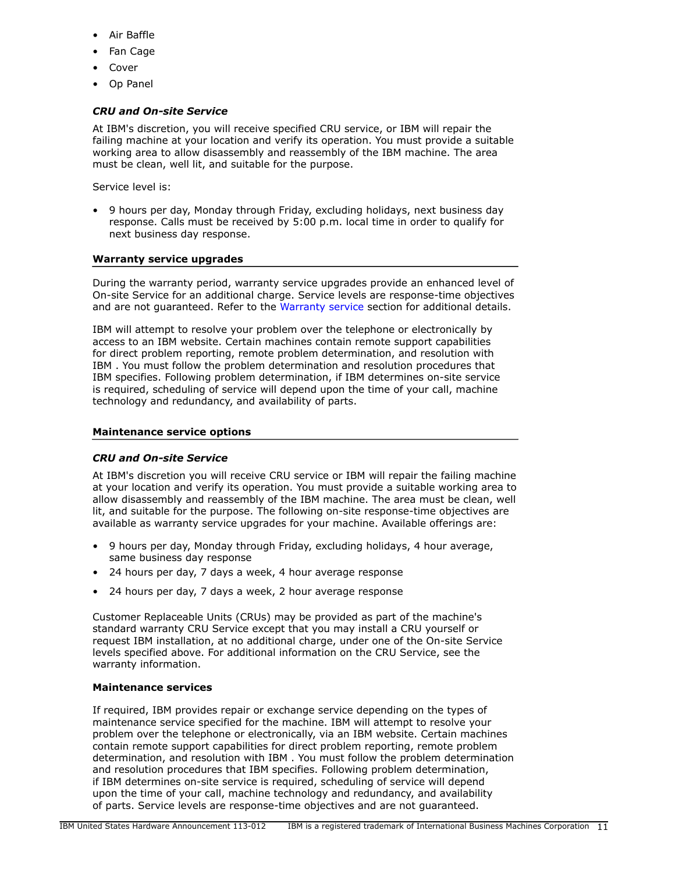- Air Baffle
- Fan Cage
- **Cover**
- Op Panel

## *CRU and On-site Service*

At IBM's discretion, you will receive specified CRU service, or IBM will repair the failing machine at your location and verify its operation. You must provide a suitable working area to allow disassembly and reassembly of the IBM machine. The area must be clean, well lit, and suitable for the purpose.

Service level is:

• 9 hours per day, Monday through Friday, excluding holidays, next business day response. Calls must be received by 5:00 p.m. local time in order to qualify for next business day response.

## **Warranty service upgrades**

During the warranty period, warranty service upgrades provide an enhanced level of On-site Service for an additional charge. Service levels are response-time objectives and are not guaranteed. Refer to the [Warranty service](#page-9-0) section for additional details.

IBM will attempt to resolve your problem over the telephone or electronically by access to an IBM website. Certain machines contain remote support capabilities for direct problem reporting, remote problem determination, and resolution with IBM . You must follow the problem determination and resolution procedures that IBM specifies. Following problem determination, if IBM determines on-site service is required, scheduling of service will depend upon the time of your call, machine technology and redundancy, and availability of parts.

#### **Maintenance service options**

## *CRU and On-site Service*

At IBM's discretion you will receive CRU service or IBM will repair the failing machine at your location and verify its operation. You must provide a suitable working area to allow disassembly and reassembly of the IBM machine. The area must be clean, well lit, and suitable for the purpose. The following on-site response-time objectives are available as warranty service upgrades for your machine. Available offerings are:

- 9 hours per day, Monday through Friday, excluding holidays, 4 hour average, same business day response
- 24 hours per day, 7 days a week, 4 hour average response
- 24 hours per day, 7 days a week, 2 hour average response

Customer Replaceable Units (CRUs) may be provided as part of the machine's standard warranty CRU Service except that you may install a CRU yourself or request IBM installation, at no additional charge, under one of the On-site Service levels specified above. For additional information on the CRU Service, see the warranty information.

## **Maintenance services**

If required, IBM provides repair or exchange service depending on the types of maintenance service specified for the machine. IBM will attempt to resolve your problem over the telephone or electronically, via an IBM website. Certain machines contain remote support capabilities for direct problem reporting, remote problem determination, and resolution with IBM . You must follow the problem determination and resolution procedures that IBM specifies. Following problem determination, if IBM determines on-site service is required, scheduling of service will depend upon the time of your call, machine technology and redundancy, and availability of parts. Service levels are response-time objectives and are not guaranteed.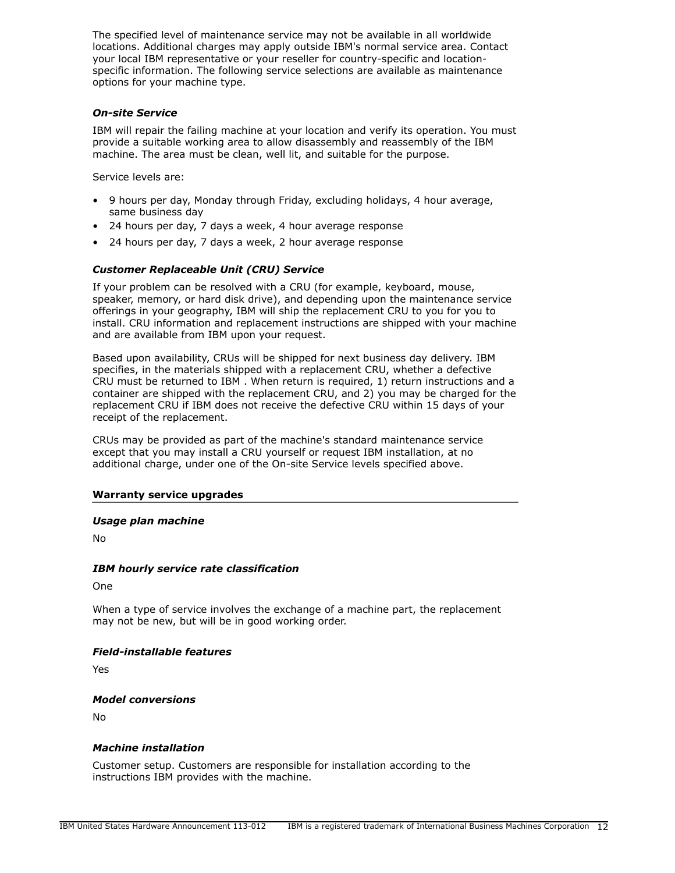The specified level of maintenance service may not be available in all worldwide locations. Additional charges may apply outside IBM's normal service area. Contact your local IBM representative or your reseller for country-specific and locationspecific information. The following service selections are available as maintenance options for your machine type.

#### *On-site Service*

IBM will repair the failing machine at your location and verify its operation. You must provide a suitable working area to allow disassembly and reassembly of the IBM machine. The area must be clean, well lit, and suitable for the purpose.

Service levels are:

- 9 hours per day, Monday through Friday, excluding holidays, 4 hour average, same business day
- 24 hours per day, 7 days a week, 4 hour average response
- 24 hours per day, 7 days a week, 2 hour average response

# *Customer Replaceable Unit (CRU) Service*

If your problem can be resolved with a CRU (for example, keyboard, mouse, speaker, memory, or hard disk drive), and depending upon the maintenance service offerings in your geography, IBM will ship the replacement CRU to you for you to install. CRU information and replacement instructions are shipped with your machine and are available from IBM upon your request.

Based upon availability, CRUs will be shipped for next business day delivery. IBM specifies, in the materials shipped with a replacement CRU, whether a defective CRU must be returned to IBM . When return is required, 1) return instructions and a container are shipped with the replacement CRU, and 2) you may be charged for the replacement CRU if IBM does not receive the defective CRU within 15 days of your receipt of the replacement.

CRUs may be provided as part of the machine's standard maintenance service except that you may install a CRU yourself or request IBM installation, at no additional charge, under one of the On-site Service levels specified above.

#### **Warranty service upgrades**

#### *Usage plan machine*

No

## *IBM hourly service rate classification*

One

When a type of service involves the exchange of a machine part, the replacement may not be new, but will be in good working order.

## *Field-installable features*

Yes

#### *Model conversions*

No

#### *Machine installation*

Customer setup. Customers are responsible for installation according to the instructions IBM provides with the machine.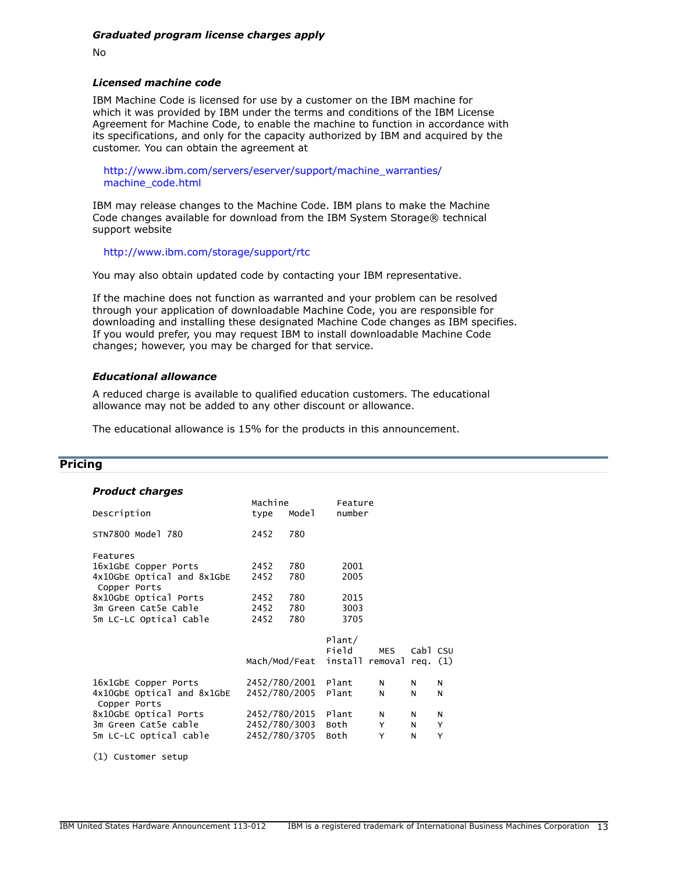No

#### *Licensed machine code*

IBM Machine Code is licensed for use by a customer on the IBM machine for which it was provided by IBM under the terms and conditions of the IBM License Agreement for Machine Code, to enable the machine to function in accordance with its specifications, and only for the capacity authorized by IBM and acquired by the customer. You can obtain the agreement at

[http://www.ibm.com/servers/eserver/support/machine\\_warranties/](http://www.ibm.com/servers/eserver/support/machine_warranties/machine_code.html) [machine\\_code.html](http://www.ibm.com/servers/eserver/support/machine_warranties/machine_code.html)

IBM may release changes to the Machine Code. IBM plans to make the Machine Code changes available for download from the IBM System Storage® technical support website

<http://www.ibm.com/storage/support/rtc>

You may also obtain updated code by contacting your IBM representative.

If the machine does not function as warranted and your problem can be resolved through your application of downloadable Machine Code, you are responsible for downloading and installing these designated Machine Code changes as IBM specifies. If you would prefer, you may request IBM to install downloadable Machine Code changes; however, you may be charged for that service.

#### *Educational allowance*

A reduced charge is available to qualified education customers. The educational allowance may not be added to any other discount or allowance.

The educational allowance is 15% for the products in this announcement.

## <span id="page-12-0"></span>**Pricing**

| type                       | Mode1 |                                                                                              |               |                   |                                      |
|----------------------------|-------|----------------------------------------------------------------------------------------------|---------------|-------------------|--------------------------------------|
| 2452                       | 780   |                                                                                              |               |                   |                                      |
|                            |       |                                                                                              |               |                   |                                      |
| 2452                       | 780   | 2001                                                                                         |               |                   |                                      |
| 2452                       | 780   | 2005                                                                                         |               |                   |                                      |
| 2452                       | 780   | 2015                                                                                         |               |                   |                                      |
| 2452                       | 780   | 3003                                                                                         |               |                   |                                      |
| 2452                       | 780   | 3705                                                                                         |               |                   |                                      |
|                            |       | Plant/                                                                                       |               |                   |                                      |
|                            |       | Field                                                                                        | <b>MES</b>    |                   |                                      |
|                            |       |                                                                                              |               |                   |                                      |
|                            |       | Plant                                                                                        | N             | N                 | N                                    |
| 4x10GbE Optical and 8x1GbE |       | Plant                                                                                        | N             | N                 | N                                    |
|                            |       | Plant                                                                                        | N             | N                 | N                                    |
|                            |       | Both                                                                                         | Y             | N                 | Y                                    |
|                            |       | Both                                                                                         | Y             | N                 | Y                                    |
|                            |       | Machine<br>2452/780/2001<br>2452/780/2005<br>2452/780/2015<br>2452/780/3003<br>2452/780/3705 | Mach/Mod/Feat | Feature<br>number | Cabl CSU<br>install removal req. (1) |

(1) Customer setup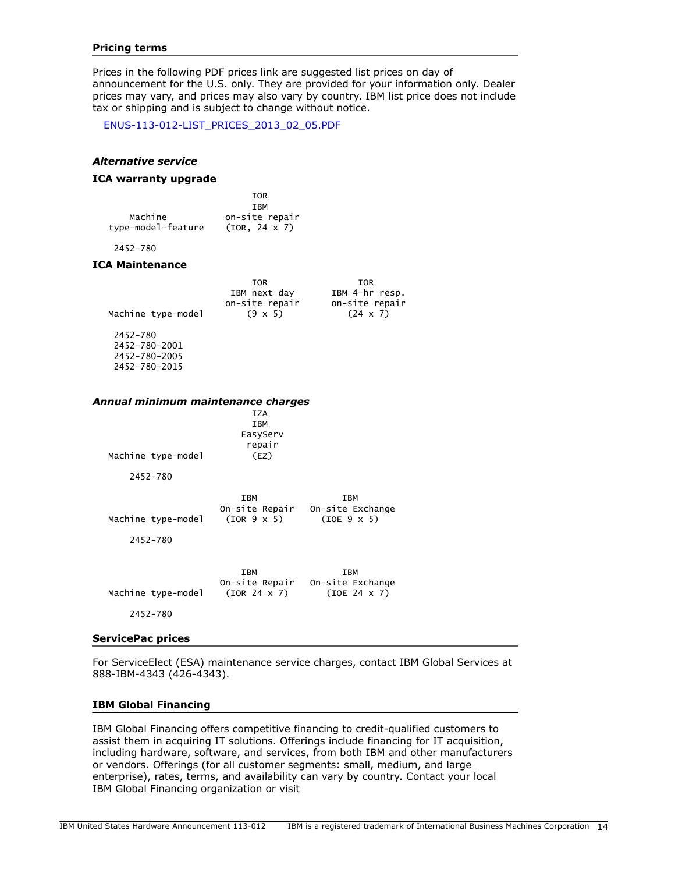#### **Pricing terms**

Prices in the following PDF prices link are suggested list prices on day of announcement for the U.S. only. They are provided for your information only. Dealer prices may vary, and prices may also vary by country. IBM list price does not include tax or shipping and is subject to change without notice.

[ENUS-113-012-LIST\\_PRICES\\_2013\\_02\\_05.PDF](http://www.ibm.com/common/ssi/cgi-bin/ssialias?infotype=AN&subtype=CA&appname=gpateam&supplier=897&letternum=ENUS113-012&attachment=ENUS-113-012-LIST_PRICES_2013_02_05.PDF)

#### *Alternative service*

## **ICA warranty upgrade**

|                    | <b>TOR</b>           |
|--------------------|----------------------|
|                    | <b>TRM</b>           |
| Machine            | on-site repair       |
| type-model-feature | $(TOR. 24 \times 7)$ |

2452-780

#### **ICA Maintenance**

|                    | TOR            | IOR             |
|--------------------|----------------|-----------------|
|                    | IBM next day   | IBM 4-hr resp.  |
|                    | on-site repair | on-site repair  |
| Machine type-model | $(9 \times 5)$ | $(24 \times 7)$ |
| 2452-780           |                |                 |
|                    |                |                 |

 2452-780-2001 2452-780-2005 2452-780-2015

#### *Annual minimum maintenance charges*

| Machine type-model             | <b>IZA</b><br><b>IBM</b><br>EasyServ<br>repair<br>(EZ) |                                                               |
|--------------------------------|--------------------------------------------------------|---------------------------------------------------------------|
| 2452-780                       |                                                        |                                                               |
| Machine type-model<br>2452-780 | IBM<br>(IOR 9 x 5)                                     | IBM<br>On-site Repair On-site Exchange<br>(IOE 9 x 5)         |
| Machine type-model<br>2452-780 | IBM<br>(IOR 24 x 7)                                    | <b>TRM</b><br>On-site Repair On-site Exchange<br>(IOE 24 x 7) |

#### **ServicePac prices**

For ServiceElect (ESA) maintenance service charges, contact IBM Global Services at 888-IBM-4343 (426-4343).

#### **IBM Global Financing**

IBM Global Financing offers competitive financing to credit-qualified customers to assist them in acquiring IT solutions. Offerings include financing for IT acquisition, including hardware, software, and services, from both IBM and other manufacturers or vendors. Offerings (for all customer segments: small, medium, and large enterprise), rates, terms, and availability can vary by country. Contact your local IBM Global Financing organization or visit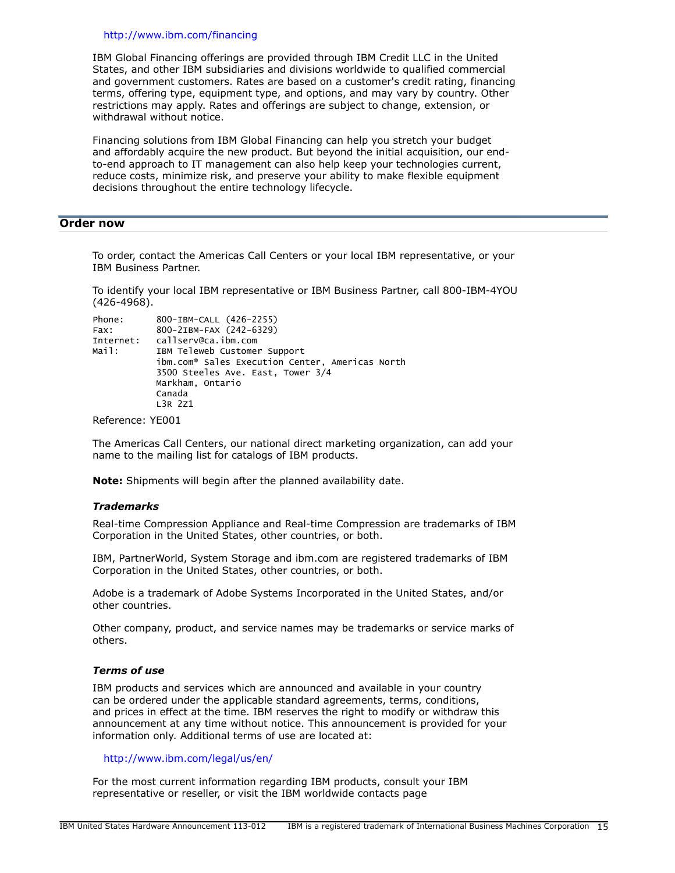#### <http://www.ibm.com/financing>

IBM Global Financing offerings are provided through IBM Credit LLC in the United States, and other IBM subsidiaries and divisions worldwide to qualified commercial and government customers. Rates are based on a customer's credit rating, financing terms, offering type, equipment type, and options, and may vary by country. Other restrictions may apply. Rates and offerings are subject to change, extension, or withdrawal without notice.

Financing solutions from IBM Global Financing can help you stretch your budget and affordably acquire the new product. But beyond the initial acquisition, our endto-end approach to IT management can also help keep your technologies current, reduce costs, minimize risk, and preserve your ability to make flexible equipment decisions throughout the entire technology lifecycle.

## <span id="page-14-0"></span>**Order now**

To order, contact the Americas Call Centers or your local IBM representative, or your IBM Business Partner.

To identify your local IBM representative or IBM Business Partner, call 800-IBM-4YOU (426-4968).

| Phone:    | 800-IBM-CALL (426-2255)                                     |
|-----------|-------------------------------------------------------------|
| Fax:      | 800-2IBM-FAX (242-6329)                                     |
| Internet: | callserv@ca.ibm.com                                         |
| Mail:     | IBM Teleweb Customer Support                                |
|           | ibm.com <sup>®</sup> Sales Execution Center, Americas North |
|           | 3500 Steeles Ave. East, Tower 3/4                           |
|           | Markham, Ontario                                            |
|           | Canada                                                      |
|           | L3R 2Z1                                                     |
|           |                                                             |

Reference: YE001

The Americas Call Centers, our national direct marketing organization, can add your name to the mailing list for catalogs of IBM products.

**Note:** Shipments will begin after the planned availability date.

#### *Trademarks*

Real-time Compression Appliance and Real-time Compression are trademarks of IBM Corporation in the United States, other countries, or both.

IBM, PartnerWorld, System Storage and ibm.com are registered trademarks of IBM Corporation in the United States, other countries, or both.

Adobe is a trademark of Adobe Systems Incorporated in the United States, and/or other countries.

Other company, product, and service names may be trademarks or service marks of others.

## *Terms of use*

IBM products and services which are announced and available in your country can be ordered under the applicable standard agreements, terms, conditions, and prices in effect at the time. IBM reserves the right to modify or withdraw this announcement at any time without notice. This announcement is provided for your information only. Additional terms of use are located at:

## <http://www.ibm.com/legal/us/en/>

For the most current information regarding IBM products, consult your IBM representative or reseller, or visit the IBM worldwide contacts page